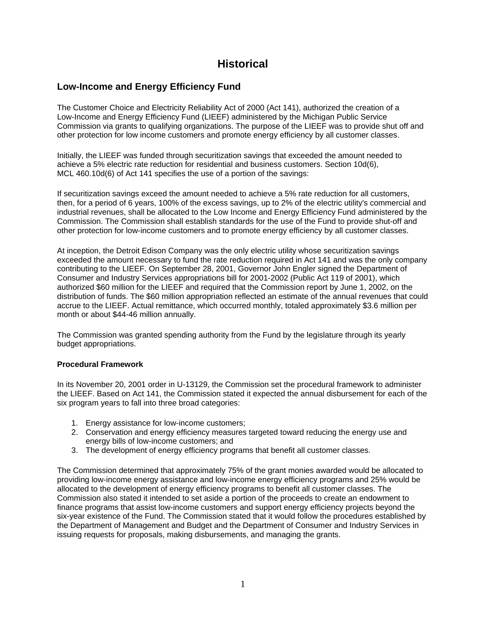# **Historical**

## **Low-Income and Energy Efficiency Fund**

The Customer Choice and Electricity Reliability Act of 2000 (Act 141), authorized the creation of a Low-Income and Energy Efficiency Fund (LIEEF) administered by the Michigan Public Service Commission via grants to qualifying organizations. The purpose of the LIEEF was to provide shut off and other protection for low income customers and promote energy efficiency by all customer classes.

Initially, the LIEEF was funded through securitization savings that exceeded the amount needed to achieve a 5% electric rate reduction for residential and business customers. Section 10d(6), MCL 460.10d(6) of Act 141 specifies the use of a portion of the savings:

If securitization savings exceed the amount needed to achieve a 5% rate reduction for all customers, then, for a period of 6 years, 100% of the excess savings, up to 2% of the electric utility's commercial and industrial revenues, shall be allocated to the Low Income and Energy Efficiency Fund administered by the Commission. The Commission shall establish standards for the use of the Fund to provide shut-off and other protection for low-income customers and to promote energy efficiency by all customer classes.

At inception, the Detroit Edison Company was the only electric utility whose securitization savings exceeded the amount necessary to fund the rate reduction required in Act 141 and was the only company contributing to the LIEEF. On September 28, 2001, Governor John Engler signed the Department of Consumer and Industry Services appropriations bill for 2001-2002 (Public Act 119 of 2001), which authorized \$60 million for the LIEEF and required that the Commission report by June 1, 2002, on the distribution of funds. The \$60 million appropriation reflected an estimate of the annual revenues that could accrue to the LIEEF. Actual remittance, which occurred monthly, totaled approximately \$3.6 million per month or about \$44-46 million annually.

The Commission was granted spending authority from the Fund by the legislature through its yearly budget appropriations.

#### **Procedural Framework**

In its November 20, 2001 order in U-13129, the Commission set the procedural framework to administer the LIEEF. Based on Act 141, the Commission stated it expected the annual disbursement for each of the six program years to fall into three broad categories:

- 1. Energy assistance for low-income customers;
- 2. Conservation and energy efficiency measures targeted toward reducing the energy use and energy bills of low-income customers; and
- 3. The development of energy efficiency programs that benefit all customer classes.

The Commission determined that approximately 75% of the grant monies awarded would be allocated to providing low-income energy assistance and low-income energy efficiency programs and 25% would be allocated to the development of energy efficiency programs to benefit all customer classes. The Commission also stated it intended to set aside a portion of the proceeds to create an endowment to finance programs that assist low-income customers and support energy efficiency projects beyond the six-year existence of the Fund. The Commission stated that it would follow the procedures established by the Department of Management and Budget and the Department of Consumer and Industry Services in issuing requests for proposals, making disbursements, and managing the grants.